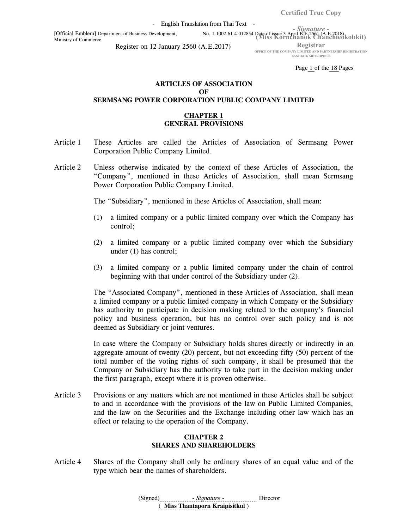Certified True Copy

- English Translation from Thai Text -

(Miss Kornchanok Chanchieokobkit) [Official Emblem] Department of Business Development, No. 1-1002-61-4-012854 Date of issue 3 April B.E.2561 (A.E.2018) Ministry of Commerce

- Signature -

Register on 12 January 2560 (A.E.2017)

Registrar

OFFICE OF THE COMPANY LIMITED AND PARTNERSHIP REGISTRATION BANGKOK METROPOLIS

Page 1 of the 18 Pages

# ARTICLES OF ASSOCIATION **OF** SERMSANG POWER CORPORATION PUBLIC COMPANY LIMITED

#### CHAPTER 1 GENERAL PROVISIONS

- Article 1 These Articles are called the Articles of Association of Sermsang Power Corporation Public Company Limited.
- Article 2 Unless otherwise indicated by the context of these Articles of Association, the "Company", mentioned in these Articles of Association, shall mean Sermsang Power Corporation Public Company Limited.

The "Subsidiary", mentioned in these Articles of Association, shall mean:

- (1) a limited company or a public limited company over which the Company has control;
- (2) a limited company or a public limited company over which the Subsidiary under (1) has control;
- (3) a limited company or a public limited company under the chain of control beginning with that under control of the Subsidiary under (2).

The "Associated Company", mentioned in these Articles of Association, shall mean a limited company or a public limited company in which Company or the Subsidiary has authority to participate in decision making related to the company's financial policy and business operation, but has no control over such policy and is not deemed as Subsidiary or joint ventures.

In case where the Company or Subsidiary holds shares directly or indirectly in an aggregate amount of twenty (20) percent, but not exceeding fifty (50) percent of the total number of the voting rights of such company, it shall be presumed that the Company or Subsidiary has the authority to take part in the decision making under the first paragraph, except where it is proven otherwise.

Article 3 Provisions or any matters which are not mentioned in these Articles shall be subject to and in accordance with the provisions of the law on Public Limited Companies, and the law on the Securities and the Exchange including other law which has an effect or relating to the operation of the Company.

#### CHAPTER 2 SHARES AND SHAREHOLDERS

Article 4 Shares of the Company shall only be ordinary shares of an equal value and of the type which bear the names of shareholders.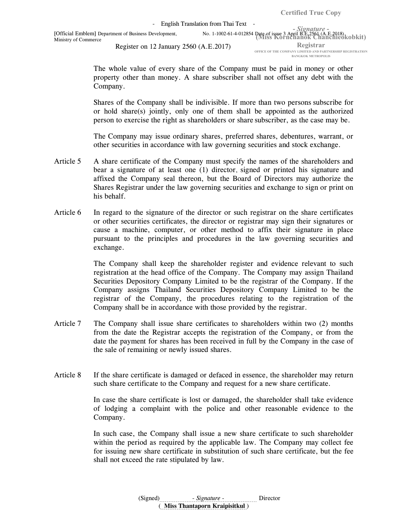BANGKOK METROPOLIS

 The whole value of every share of the Company must be paid in money or other property other than money. A share subscriber shall not offset any debt with the Company.

Shares of the Company shall be indivisible. If more than two persons subscribe for or hold share(s) jointly, only one of them shall be appointed as the authorized person to exercise the right as shareholders or share subscriber, as the case may be.

 The Company may issue ordinary shares, preferred shares, debentures, warrant, or other securities in accordance with law governing securities and stock exchange.

- Article 5 A share certificate of the Company must specify the names of the shareholders and bear a signature of at least one (1) director, signed or printed his signature and affixed the Company seal thereon, but the Board of Directors may authorize the Shares Registrar under the law governing securities and exchange to sign or print on his behalf.
- Article 6 In regard to the signature of the director or such registrar on the share certificates or other securities certificates, the director or registrar may sign their signatures or cause a machine, computer, or other method to affix their signature in place pursuant to the principles and procedures in the law governing securities and exchange.

 The Company shall keep the shareholder register and evidence relevant to such registration at the head office of the Company. The Company may assign Thailand Securities Depository Company Limited to be the registrar of the Company. If the Company assigns Thailand Securities Depository Company Limited to be the registrar of the Company, the procedures relating to the registration of the Company shall be in accordance with those provided by the registrar.

- Article 7 The Company shall issue share certificates to shareholders within two (2) months from the date the Registrar accepts the registration of the Company, or from the date the payment for shares has been received in full by the Company in the case of the sale of remaining or newly issued shares.
- Article 8 If the share certificate is damaged or defaced in essence, the shareholder may return such share certificate to the Company and request for a new share certificate.

 In case the share certificate is lost or damaged, the shareholder shall take evidence of lodging a complaint with the police and other reasonable evidence to the Company.

 In such case, the Company shall issue a new share certificate to such shareholder within the period as required by the applicable law. The Company may collect fee for issuing new share certificate in substitution of such share certificate, but the fee shall not exceed the rate stipulated by law.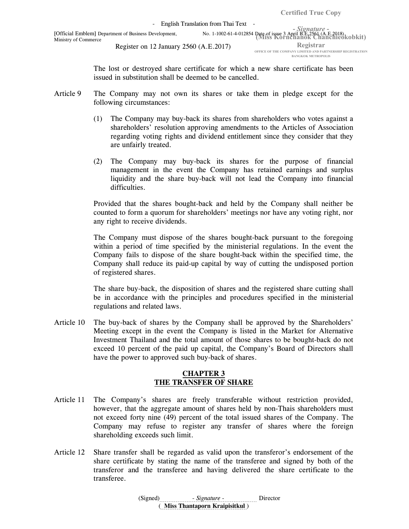The lost or destroyed share certificate for which a new share certificate has been issued in substitution shall be deemed to be cancelled.

- Article 9 The Company may not own its shares or take them in pledge except for the following circumstances:
	- (1) The Company may buy-back its shares from shareholders who votes against a shareholders' resolution approving amendments to the Articles of Association regarding voting rights and dividend entitlement since they consider that they are unfairly treated.
	- (2) The Company may buy-back its shares for the purpose of financial management in the event the Company has retained earnings and surplus liquidity and the share buy-back will not lead the Company into financial difficulties.

Provided that the shares bought-back and held by the Company shall neither be counted to form a quorum for shareholders' meetings nor have any voting right, nor any right to receive dividends.

The Company must dispose of the shares bought-back pursuant to the foregoing within a period of time specified by the ministerial regulations. In the event the Company fails to dispose of the share bought-back within the specified time, the Company shall reduce its paid-up capital by way of cutting the undisposed portion of registered shares.

The share buy-back, the disposition of shares and the registered share cutting shall be in accordance with the principles and procedures specified in the ministerial regulations and related laws.

Article 10 The buy-back of shares by the Company shall be approved by the Shareholders' Meeting except in the event the Company is listed in the Market for Alternative Investment Thailand and the total amount of those shares to be bought-back do not exceed 10 percent of the paid up capital, the Company's Board of Directors shall have the power to approved such buy-back of shares.

### CHAPTER 3 THE TRANSFER OF SHARE

- Article 11 The Company's shares are freely transferable without restriction provided, however, that the aggregate amount of shares held by non-Thais shareholders must not exceed forty nine (49) percent of the total issued shares of the Company. The Company may refuse to register any transfer of shares where the foreign shareholding exceeds such limit.
- Article 12 Share transfer shall be regarded as valid upon the transferor's endorsement of the share certificate by stating the name of the transferee and signed by both of the transferor and the transferee and having delivered the share certificate to the transferee.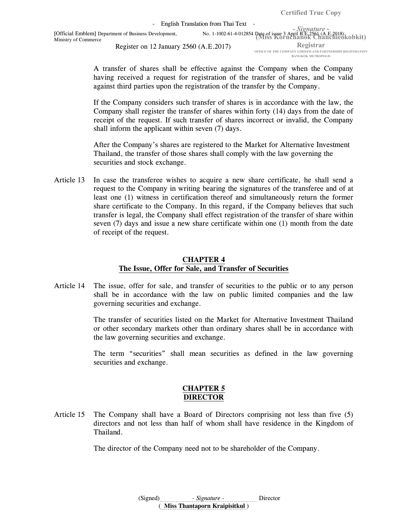- English Translation from Thai Text -

(Miss Kornchanok Chanchieokobkit) [Official Emblem] Department of Business Development, No. 1-1002-61-4-012854 Date of issue 3 April B.E.2561 (A.E.2018) Ministry of Commerce

Register on 12 January 2560 (A.E.2017)

Registrar OFFICE OF THE COMPANY LIMITED AND PARTNERSHIP REGISTRATION BANGKOK METROPOLIS

 A transfer of shares shall be effective against the Company when the Company having received a request for registration of the transfer of shares, and be valid against third parties upon the registration of the transfer by the Company.

 If the Company considers such transfer of shares is in accordance with the law, the Company shall register the transfer of shares within forty (14) days from the date of receipt of the request. If such transfer of shares incorrect or invalid, the Company shall inform the applicant within seven (7) days.

After the Company's shares are registered to the Market for Alternative Investment Thailand, the transfer of those shares shall comply with the law governing the securities and stock exchange.

Article 13 In case the transferee wishes to acquire a new share certificate, he shall send a request to the Company in writing bearing the signatures of the transferee and of at least one (1) witness in certification thereof and simultaneously return the former share certificate to the Company. In this regard, if the Company believes that such transfer is legal, the Company shall effect registration of the transfer of share within seven (7) days and issue a new share certificate within one (1) month from the date of receipt of the request.

### CHAPTER 4 The Issue, Offer for Sale, and Transfer of Securities

Article 14 The issue, offer for sale, and transfer of securities to the public or to any person shall be in accordance with the law on public limited companies and the law governing securities and exchange.

> The transfer of securities listed on the Market for Alternative Investment Thailand or other secondary markets other than ordinary shares shall be in accordance with the law governing securities and exchange.

> The term "securities" shall mean securities as defined in the law governing securities and exchange.

### CHAPTER 5 DIRECTOR

Article 15 The Company shall have a Board of Directors comprising not less than five (5) directors and not less than half of whom shall have residence in the Kingdom of Thailand.

The director of the Company need not to be shareholder of the Company.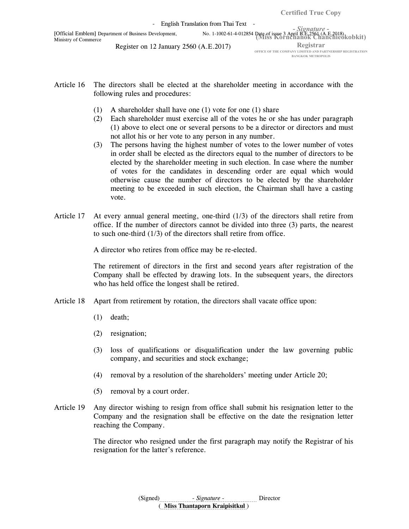- English Translation from Thai Text -

(Miss Kornchanok Chanchieokobkit) [Official Emblem] Department of Business Development, No. 1-1002-61-4-012854 Date of issue 3 April B.E.2561 (A.E.2018) Ministry of Commerce

Register on 12 January 2560 (A.E.2017)

Registrar OFFICE OF THE COMPANY LIMITED AND PARTNERSHIP REGISTRATION BANGKOK METROPOLIS

- Article 16 The directors shall be elected at the shareholder meeting in accordance with the following rules and procedures:
	- (1) A shareholder shall have one (1) vote for one (1) share
	- (2) Each shareholder must exercise all of the votes he or she has under paragraph (1) above to elect one or several persons to be a director or directors and must not allot his or her vote to any person in any number.
	- (3) The persons having the highest number of votes to the lower number of votes in order shall be elected as the directors equal to the number of directors to be elected by the shareholder meeting in such election. In case where the number of votes for the candidates in descending order are equal which would otherwise cause the number of directors to be elected by the shareholder meeting to be exceeded in such election, the Chairman shall have a casting vote.
- Article 17 At every annual general meeting, one-third (1/3) of the directors shall retire from office. If the number of directors cannot be divided into three (3) parts, the nearest to such one-third (1/3) of the directors shall retire from office.

A director who retires from office may be re-elected.

The retirement of directors in the first and second years after registration of the Company shall be effected by drawing lots. In the subsequent years, the directors who has held office the longest shall be retired.

- Article 18 Apart from retirement by rotation, the directors shall vacate office upon:
	- (1) death;
	- (2) resignation;
	- (3) loss of qualifications or disqualification under the law governing public company, and securities and stock exchange;
	- (4) removal by a resolution of the shareholders' meeting under Article 20;
	- (5) removal by a court order.
- Article 19 Any director wishing to resign from office shall submit his resignation letter to the Company and the resignation shall be effective on the date the resignation letter reaching the Company.

 The director who resigned under the first paragraph may notify the Registrar of his resignation for the latter's reference.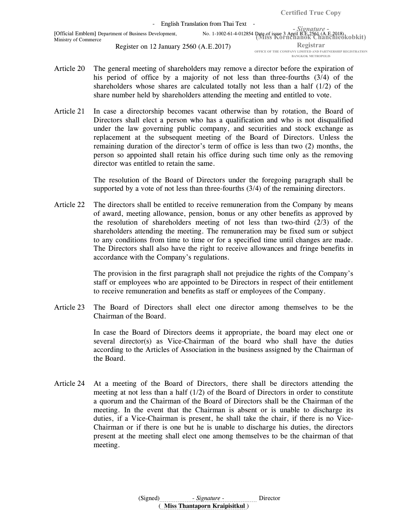- Article 20 The general meeting of shareholders may remove a director before the expiration of his period of office by a majority of not less than three-fourths (3/4) of the shareholders whose shares are calculated totally not less than a half  $(1/2)$  of the share number held by shareholders attending the meeting and entitled to vote.
- Article 21 In case a directorship becomes vacant otherwise than by rotation, the Board of Directors shall elect a person who has a qualification and who is not disqualified under the law governing public company, and securities and stock exchange as replacement at the subsequent meeting of the Board of Directors. Unless the remaining duration of the director's term of office is less than two (2) months, the person so appointed shall retain his office during such time only as the removing director was entitled to retain the same.

 The resolution of the Board of Directors under the foregoing paragraph shall be supported by a vote of not less than three-fourths (3/4) of the remaining directors.

Article 22 The directors shall be entitled to receive remuneration from the Company by means of award, meeting allowance, pension, bonus or any other benefits as approved by the resolution of shareholders meeting of not less than two-third  $(2/3)$  of the shareholders attending the meeting. The remuneration may be fixed sum or subject to any conditions from time to time or for a specified time until changes are made. The Directors shall also have the right to receive allowances and fringe benefits in accordance with the Company's regulations.

> The provision in the first paragraph shall not prejudice the rights of the Company's staff or employees who are appointed to be Directors in respect of their entitlement to receive remuneration and benefits as staff or employees of the Company.

Article 23 The Board of Directors shall elect one director among themselves to be the Chairman of the Board.

> In case the Board of Directors deems it appropriate, the board may elect one or several director(s) as Vice-Chairman of the board who shall have the duties according to the Articles of Association in the business assigned by the Chairman of the Board.

Article 24 At a meeting of the Board of Directors, there shall be directors attending the meeting at not less than a half  $(1/2)$  of the Board of Directors in order to constitute a quorum and the Chairman of the Board of Directors shall be the Chairman of the meeting. In the event that the Chairman is absent or is unable to discharge its duties, if a Vice-Chairman is present, he shall take the chair, if there is no Vice-Chairman or if there is one but he is unable to discharge his duties, the directors present at the meeting shall elect one among themselves to be the chairman of that meeting.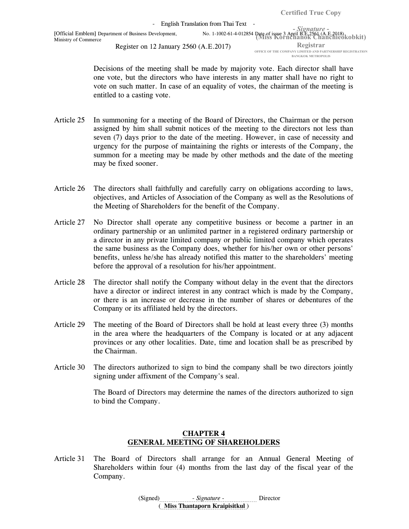OFFICE OF THE COMPANY LIMITED AND PARTNERSHIP REGISTRATION BANGKOK METROPOLIS

 Decisions of the meeting shall be made by majority vote. Each director shall have one vote, but the directors who have interests in any matter shall have no right to vote on such matter. In case of an equality of votes, the chairman of the meeting is entitled to a casting vote.

- Article 25 In summoning for a meeting of the Board of Directors, the Chairman or the person assigned by him shall submit notices of the meeting to the directors not less than seven (7) days prior to the date of the meeting. However, in case of necessity and urgency for the purpose of maintaining the rights or interests of the Company, the summon for a meeting may be made by other methods and the date of the meeting may be fixed sooner.
- Article 26 The directors shall faithfully and carefully carry on obligations according to laws, objectives, and Articles of Association of the Company as well as the Resolutions of the Meeting of Shareholders for the benefit of the Company.
- Article 27 No Director shall operate any competitive business or become a partner in an ordinary partnership or an unlimited partner in a registered ordinary partnership or a director in any private limited company or public limited company which operates the same business as the Company does, whether for his/her own or other persons' benefits, unless he/she has already notified this matter to the shareholders' meeting before the approval of a resolution for his/her appointment.
- Article 28 The director shall notify the Company without delay in the event that the directors have a director or indirect interest in any contract which is made by the Company, or there is an increase or decrease in the number of shares or debentures of the Company or its affiliated held by the directors.
- Article 29 The meeting of the Board of Directors shall be hold at least every three (3) months in the area where the headquarters of the Company is located or at any adjacent provinces or any other localities. Date, time and location shall be as prescribed by the Chairman.
- Article 30 The directors authorized to sign to bind the company shall be two directors jointly signing under affixment of the Company's seal.

 The Board of Directors may determine the names of the directors authorized to sign to bind the Company.

# CHAPTER 4 GENERAL MEETING OF SHAREHOLDERS

Article 31 The Board of Directors shall arrange for an Annual General Meeting of Shareholders within four (4) months from the last day of the fiscal year of the Company.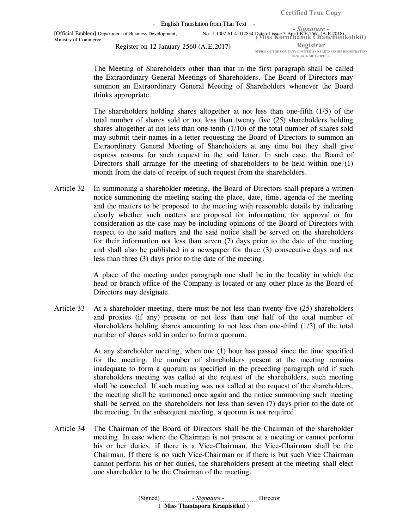- Signature - (Miss Kornchanok Chanchieokobkit) [Official Emblem] Department of Business Development, No. 1-1002-61-4-012854 Date of issue 3 April B.E.2561 (A.E.2018) Registrar - English Translation from Thai Text -Ministry of Commerce Register on 12 January 2560 (A.E.2017)

OFFICE OF THE COMPANY LIMITED AND PARTNERSHIP REGISTRATION BANGKOK METROPOLIS

 The Meeting of Shareholders other than that in the first paragraph shall be called the Extraordinary General Meetings of Shareholders. The Board of Directors may summon an Extraordinary General Meeting of Shareholders whenever the Board thinks appropriate.

 The shareholders holding shares altogether at not less than one-fifth (1/5) of the total number of shares sold or not less than twenty five (25) shareholders holding shares altogether at not less than one-tenth (1/10) of the total number of shares sold may submit their names in a letter requesting the Board of Directors to summon an Extraordinary General Meeting of Shareholders at any time but they shall give express reasons for such request in the said letter. In such case, the Board of Directors shall arrange for the meeting of shareholders to be held within one (1) month from the date of receipt of such request from the shareholders.

Article 32 In summoning a shareholder meeting, the Board of Directors shall prepare a written notice summoning the meeting stating the place, date, time, agenda of the meeting and the matters to be proposed to the meeting with reasonable details by indicating clearly whether such matters are proposed for information, for approval or for consideration as the case may be including opinions of the Board of Directors with respect to the said matters and the said notice shall be served on the shareholders for their information not less than seven (7) days prior to the date of the meeting and shall also be published in a newspaper for three (3) consecutive days and not less than three (3) days prior to the date of the meeting.

> A place of the meeting under paragraph one shall be in the locality in which the head or branch office of the Company is located or any other place as the Board of Directors may designate.

Article 33 At a shareholder meeting, there must be not less than twenty-five (25) shareholders and proxies (if any) present or not less than one half of the total number of shareholders holding shares amounting to not less than one-third  $(1/3)$  of the total number of shares sold in order to form a quorum.

> At any shareholder meeting, when one (1) hour has passed since the time specified for the meeting, the number of shareholders present at the meeting remains inadequate to form a quorum as specified in the preceding paragraph and if such shareholders meeting was called at the request of the shareholders, such meeting shall be canceled. If such meeting was not called at the request of the shareholders, the meeting shall be summoned once again and the notice summoning such meeting shall be served on the shareholders not less than seven (7) days prior to the date of the meeting. In the subsequent meeting, a quorum is not required.

Article 34 The Chairman of the Board of Directors shall be the Chairman of the shareholder meeting. In case where the Chairman is not present at a meeting or cannot perform his or her duties, if there is a Vice-Chairman, the Vice-Chairman shall be the Chairman. If there is no such Vice-Chairman or if there is but such Vice Chairman cannot perform his or her duties, the shareholders present at the meeting shall elect one shareholder to be the Chairman of the meeting.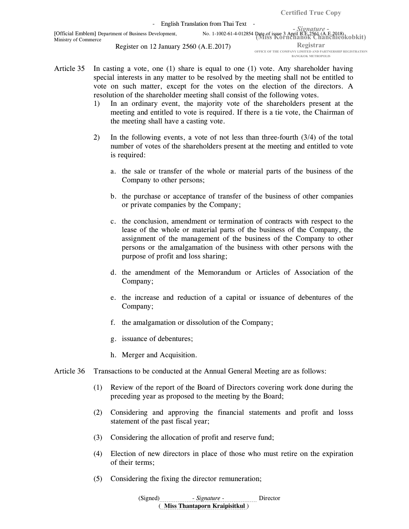- Signature - (Miss Kornchanok Chanchieokobkit) [Official Emblem] Department of Business Development, No. 1-1002-61-4-012854 Date of issue 3 April B.E.2561 (A.E.2018) Registrar - English Translation from Thai Text -Ministry of Commerce Register on 12 January 2560 (A.E.2017)

OFFICE OF THE COMPANY LIMITED AND PARTNERSHIP REGISTRATION BANGKOK METROPOLIS

- Article 35 In casting a vote, one (1) share is equal to one (1) vote. Any shareholder having special interests in any matter to be resolved by the meeting shall not be entitled to vote on such matter, except for the votes on the election of the directors. A resolution of the shareholder meeting shall consist of the following votes.
	- 1) In an ordinary event, the majority vote of the shareholders present at the meeting and entitled to vote is required. If there is a tie vote, the Chairman of the meeting shall have a casting vote.
	- 2) In the following events, a vote of not less than three-fourth (3/4) of the total number of votes of the shareholders present at the meeting and entitled to vote is required:
		- a. the sale or transfer of the whole or material parts of the business of the Company to other persons;
		- b. the purchase or acceptance of transfer of the business of other companies or private companies by the Company;
		- c. the conclusion, amendment or termination of contracts with respect to the lease of the whole or material parts of the business of the Company, the assignment of the management of the business of the Company to other persons or the amalgamation of the business with other persons with the purpose of profit and loss sharing;
		- d. the amendment of the Memorandum or Articles of Association of the Company;
		- e. the increase and reduction of a capital or issuance of debentures of the Company;
		- f. the amalgamation or dissolution of the Company;
		- g. issuance of debentures;
		- h. Merger and Acquisition.
- Article 36 Transactions to be conducted at the Annual General Meeting are as follows:
	- (1) Review of the report of the Board of Directors covering work done during the preceding year as proposed to the meeting by the Board;
	- (2) Considering and approving the financial statements and profit and losss statement of the past fiscal year;
	- (3) Considering the allocation of profit and reserve fund;
	- (4) Election of new directors in place of those who must retire on the expiration of their terms;
	- (5) Considering the fixing the director remuneration;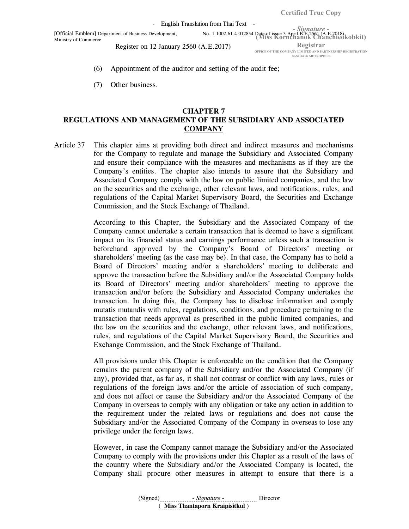- English Translation from Thai Text -

(Miss Kornchanok Chanchieokobkit) [Official Emblem] Department of Business Development, No. 1-1002-61-4-012854 Date of issue 3 April B.E.2561 (A.E.2018) Ministry of Commerce

Register on 12 January 2560 (A.E.2017)

Registrar OFFICE OF THE COMPANY LIMITED AND PARTNERSHIP REGISTRATION BANGKOK METROPOLIS

(6) Appointment of the auditor and setting of the audit fee;

(7) Other business.

### CHAPTER 7 REGULATIONS AND MANAGEMENT OF THE SUBSIDIARY AND ASSOCIATED **COMPANY**

Article 37 This chapter aims at providing both direct and indirect measures and mechanisms for the Company to regulate and manage the Subsidiary and Associated Company and ensure their compliance with the measures and mechanisms as if they are the Company's entities. The chapter also intends to assure that the Subsidiary and Associated Company comply with the law on public limited companies, and the law on the securities and the exchange, other relevant laws, and notifications, rules, and regulations of the Capital Market Supervisory Board, the Securities and Exchange Commission, and the Stock Exchange of Thailand.

> According to this Chapter, the Subsidiary and the Associated Company of the Company cannot undertake a certain transaction that is deemed to have a significant impact on its financial status and earnings performance unless such a transaction is beforehand approved by the Company's Board of Directors' meeting or shareholders' meeting (as the case may be). In that case, the Company has to hold a Board of Directors' meeting and/or a shareholders' meeting to deliberate and approve the transaction before the Subsidiary and/or the Associated Company holds its Board of Directors' meeting and/or shareholders' meeting to approve the transaction and/or before the Subsidiary and Associated Company undertakes the transaction. In doing this, the Company has to disclose information and comply mutatis mutandis with rules, regulations, conditions, and procedure pertaining to the transaction that needs approval as prescribed in the public limited companies, and the law on the securities and the exchange, other relevant laws, and notifications, rules, and regulations of the Capital Market Supervisory Board, the Securities and Exchange Commission, and the Stock Exchange of Thailand.

> All provisions under this Chapter is enforceable on the condition that the Company remains the parent company of the Subsidiary and/or the Associated Company (if any), provided that, as far as, it shall not contrast or conflict with any laws, rules or regulations of the foreign laws and/or the article of association of such company, and does not affect or cause the Subsidiary and/or the Associated Company of the Company in overseas to comply with any obligation or take any action in addition to the requirement under the related laws or regulations and does not cause the Subsidiary and/or the Associated Company of the Company in overseas to lose any privilege under the foreign laws.

> However, in case the Company cannot manage the Subsidiary and/or the Associated Company to comply with the provisions under this Chapter as a result of the laws of the country where the Subsidiary and/or the Associated Company is located, the Company shall procure other measures in attempt to ensure that there is a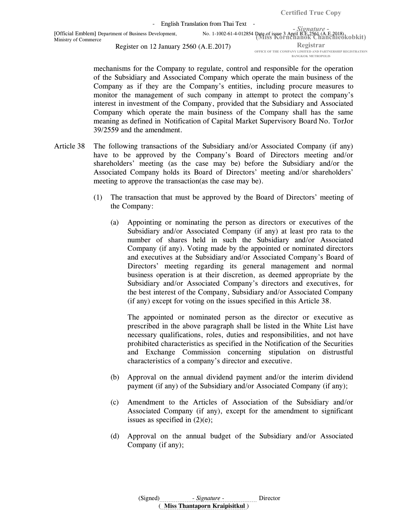- Signature - (Miss Kornchanok Chanchieokobkit) [Official Emblem] Department of Business Development, No. 1-1002-61-4-012854 Date of issue 3 April B.E.2561 (A.E.2018) - English Translation from Thai Text -Ministry of Commerce

Register on 12 January 2560 (A.E.2017)

Registrar OFFICE OF THE COMPANY LIMITED AND PARTNERSHIP REGISTRATION BANGKOK METROPOLIS

mechanisms for the Company to regulate, control and responsible for the operation of the Subsidiary and Associated Company which operate the main business of the Company as if they are the Company's entities, including procure measures to monitor the management of such company in attempt to protect the company's interest in investment of the Company, provided that the Subsidiary and Associated Company which operate the main business of the Company shall has the same meaning as defined in Notification of Capital Market Supervisory Board No. TorJor 39/2559 and the amendment.

- Article 38 The following transactions of the Subsidiary and/or Associated Company (if any) have to be approved by the Company's Board of Directors meeting and/or shareholders' meeting (as the case may be) before the Subsidiary and/or the Associated Company holds its Board of Directors' meeting and/or shareholders' meeting to approve the transaction(as the case may be).
	- (1) The transaction that must be approved by the Board of Directors' meeting of the Company:
		- (a) Appointing or nominating the person as directors or executives of the Subsidiary and/or Associated Company (if any) at least pro rata to the number of shares held in such the Subsidiary and/or Associated Company (if any). Voting made by the appointed or nominated directors and executives at the Subsidiary and/or Associated Company's Board of Directors' meeting regarding its general management and normal business operation is at their discretion, as deemed appropriate by the Subsidiary and/or Associated Company's directors and executives, for the best interest of the Company, Subsidiary and/or Associated Company (if any) except for voting on the issues specified in this Article 38.

The appointed or nominated person as the director or executive as prescribed in the above paragraph shall be listed in the White List have necessary qualifications, roles, duties and responsibilities, and not have prohibited characteristics as specified in the Notification of the Securities and Exchange Commission concerning stipulation on distrustful characteristics of a company's director and executive.

- (b) Approval on the annual dividend payment and/or the interim dividend payment (if any) of the Subsidiary and/or Associated Company (if any);
- (c) Amendment to the Articles of Association of the Subsidiary and/or Associated Company (if any), except for the amendment to significant issues as specified in  $(2)(e)$ ;
- (d) Approval on the annual budget of the Subsidiary and/or Associated Company (if any);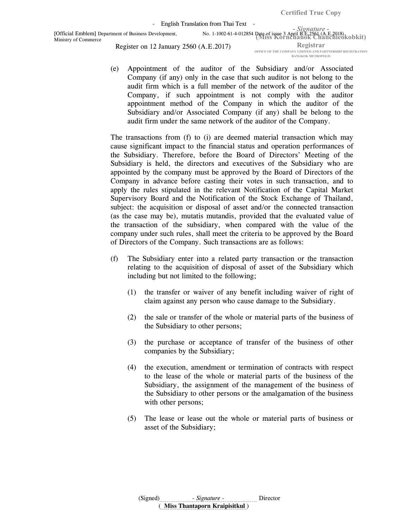Certified True Copy

- English Translation from Thai Text -

Ministry of Commerce

- Signature - (Miss Kornchanok Chanchieokobkit) [Official Emblem] Department of Business Development, No. 1-1002-61-4-012854 Date of issue 3 April B.E.2561 (A.E.2018) Registrar Register on 12 January 2560 (A.E.2017)

OFFICE OF THE COMPANY LIMITED AND PARTNERSHIP REGISTRATION BANGKOK METROPOLIS

(e) Appointment of the auditor of the Subsidiary and/or Associated Company (if any) only in the case that such auditor is not belong to the audit firm which is a full member of the network of the auditor of the Company, if such appointment is not comply with the auditor appointment method of the Company in which the auditor of the Subsidiary and/or Associated Company (if any) shall be belong to the audit firm under the same network of the auditor of the Company.

The transactions from (f) to (i) are deemed material transaction which may cause significant impact to the financial status and operation performances of the Subsidiary. Therefore, before the Board of Directors' Meeting of the Subsidiary is held, the directors and executives of the Subsidiary who are appointed by the company must be approved by the Board of Directors of the Company in advance before casting their votes in such transaction, and to apply the rules stipulated in the relevant Notification of the Capital Market Supervisory Board and the Notification of the Stock Exchange of Thailand, subject: the acquisition or disposal of asset and/or the connected transaction (as the case may be), mutatis mutandis, provided that the evaluated value of the transaction of the subsidiary, when compared with the value of the company under such rules, shall meet the criteria to be approved by the Board of Directors of the Company. Such transactions are as follows:

- (f) The Subsidiary enter into a related party transaction or the transaction relating to the acquisition of disposal of asset of the Subsidiary which including but not limited to the following;
	- (1) the transfer or waiver of any benefit including waiver of right of claim against any person who cause damage to the Subsidiary.
	- (2) the sale or transfer of the whole or material parts of the business of the Subsidiary to other persons;
	- (3) the purchase or acceptance of transfer of the business of other companies by the Subsidiary;
	- (4) the execution, amendment or termination of contracts with respect to the lease of the whole or material parts of the business of the Subsidiary, the assignment of the management of the business of the Subsidiary to other persons or the amalgamation of the business with other persons;
	- (5) The lease or lease out the whole or material parts of business or asset of the Subsidiary;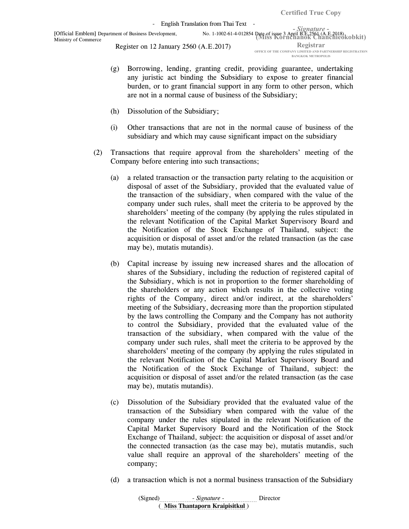Registrar OFFICE OF THE COMPANY LIMITED AND PARTNERSHIP REGISTRATION BANGKOK METROPOLIS

- (g) Borrowing, lending, granting credit, providing guarantee, undertaking any juristic act binding the Subsidiary to expose to greater financial burden, or to grant financial support in any form to other person, which are not in a normal cause of business of the Subsidiary;
- (h) Dissolution of the Subsidiary;
- (i) Other transactions that are not in the normal cause of business of the subsidiary and which may cause significant impact on the subsidiary
- (2) Transactions that require approval from the shareholders' meeting of the Company before entering into such transactions;
	- (a) a related transaction or the transaction party relating to the acquisition or disposal of asset of the Subsidiary, provided that the evaluated value of the transaction of the subsidiary, when compared with the value of the company under such rules, shall meet the criteria to be approved by the shareholders' meeting of the company (by applying the rules stipulated in the relevant Notification of the Capital Market Supervisory Board and the Notification of the Stock Exchange of Thailand, subject: the acquisition or disposal of asset and/or the related transaction (as the case may be), mutatis mutandis).
	- (b) Capital increase by issuing new increased shares and the allocation of shares of the Subsidiary, including the reduction of registered capital of the Subsidiary, which is not in proportion to the former shareholding of the shareholders or any action which results in the collective voting rights of the Company, direct and/or indirect, at the shareholders' meeting of the Subsidiary, decreasing more than the proportion stipulated by the laws controlling the Company and the Company has not authority to control the Subsidiary, provided that the evaluated value of the transaction of the subsidiary, when compared with the value of the company under such rules, shall meet the criteria to be approved by the shareholders' meeting of the company (by applying the rules stipulated in the relevant Notification of the Capital Market Supervisory Board and the Notification of the Stock Exchange of Thailand, subject: the acquisition or disposal of asset and/or the related transaction (as the case may be), mutatis mutandis).
	- (c) Dissolution of the Subsidiary provided that the evaluated value of the transaction of the Subsidiary when compared with the value of the company under the rules stipulated in the relevant Notification of the Capital Market Supervisory Board and the Notification of the Stock Exchange of Thailand, subject: the acquisition or disposal of asset and/or the connected transaction (as the case may be), mutatis mutandis, such value shall require an approval of the shareholders' meeting of the company;
	- (d) a transaction which is not a normal business transaction of the Subsidiary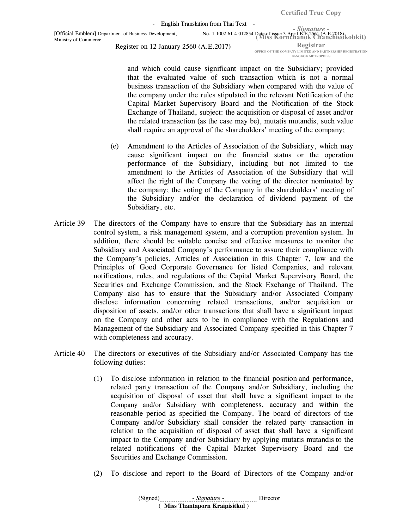- English Translation from Thai Text -

Register on 12 January 2560 (A.E.2017)

Registrar OFFICE OF THE COMPANY LIMITED AND PARTNERSHIP REGISTRATION BANGKOK METROPOLIS

- Signature -

and which could cause significant impact on the Subsidiary; provided that the evaluated value of such transaction which is not a normal business transaction of the Subsidiary when compared with the value of the company under the rules stipulated in the relevant Notification of the Capital Market Supervisory Board and the Notification of the Stock Exchange of Thailand, subject: the acquisition or disposal of asset and/or the related transaction (as the case may be), mutatis mutandis, such value shall require an approval of the shareholders' meeting of the company;

- (e) Amendment to the Articles of Association of the Subsidiary, which may cause significant impact on the financial status or the operation performance of the Subsidiary, including but not limited to the amendment to the Articles of Association of the Subsidiary that will affect the right of the Company the voting of the director nominated by the company; the voting of the Company in the shareholders' meeting of the Subsidiary and/or the declaration of dividend payment of the Subsidiary, etc.
- Article 39 The directors of the Company have to ensure that the Subsidiary has an internal control system, a risk management system, and a corruption prevention system. In addition, there should be suitable concise and effective measures to monitor the Subsidiary and Associated Company's performance to assure their compliance with the Company's policies, Articles of Association in this Chapter 7, law and the Principles of Good Corporate Governance for listed Companies, and relevant notifications, rules, and regulations of the Capital Market Supervisory Board, the Securities and Exchange Commission, and the Stock Exchange of Thailand. The Company also has to ensure that the Subsidiary and/or Associated Company disclose information concerning related transactions, and/or acquisition or disposition of assets, and/or other transactions that shall have a significant impact on the Company and other acts to be in compliance with the Regulations and Management of the Subsidiary and Associated Company specified in this Chapter 7 with completeness and accuracy.
- Article 40 The directors or executives of the Subsidiary and/or Associated Company has the following duties:
	- (1) To disclose information in relation to the financial position and performance, related party transaction of the Company and/or Subsidiary, including the acquisition of disposal of asset that shall have a significant impact to the Company and/or Subsidiary with completeness, accuracy and within the reasonable period as specified the Company. The board of directors of the Company and/or Subsidiary shall consider the related party transaction in relation to the acquisition of disposal of asset that shall have a significant impact to the Company and/or Subsidiary by applying mutatis mutandis to the related notifications of the Capital Market Supervisory Board and the Securities and Exchange Commission.
	- (2) To disclose and report to the Board of Directors of the Company and/or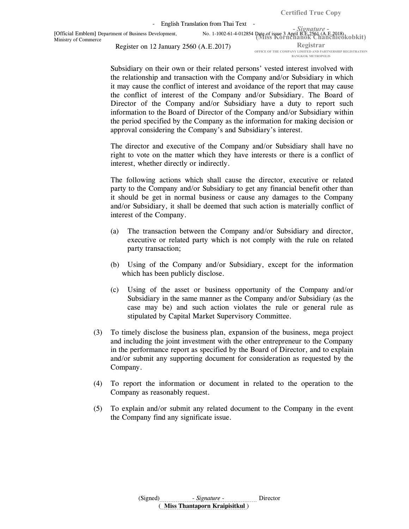- English Translation from Thai Text -

(Miss Kornchanok Chanchieokobkit) [Official Emblem] Department of Business Development, No. 1-1002-61-4-012854 Date of issue 3 April B.E.2561 (A.E.2018) Ministry of Commerce

Register on 12 January 2560 (A.E.2017)

Registrar OFFICE OF THE COMPANY LIMITED AND PARTNERSHIP REGISTRATION BANGKOK METROPOLIS

- Signature -

Subsidiary on their own or their related persons' vested interest involved with the relationship and transaction with the Company and/or Subsidiary in which it may cause the conflict of interest and avoidance of the report that may cause the conflict of interest of the Company and/or Subsidiary. The Board of Director of the Company and/or Subsidiary have a duty to report such information to the Board of Director of the Company and/or Subsidiary within the period specified by the Company as the information for making decision or approval considering the Company's and Subsidiary's interest.

The director and executive of the Company and/or Subsidiary shall have no right to vote on the matter which they have interests or there is a conflict of interest, whether directly or indirectly.

The following actions which shall cause the director, executive or related party to the Company and/or Subsidiary to get any financial benefit other than it should be get in normal business or cause any damages to the Company and/or Subsidiary, it shall be deemed that such action is materially conflict of interest of the Company.

- (a) The transaction between the Company and/or Subsidiary and director, executive or related party which is not comply with the rule on related party transaction;
- (b) Using of the Company and/or Subsidiary, except for the information which has been publicly disclose.
- (c) Using of the asset or business opportunity of the Company and/or Subsidiary in the same manner as the Company and/or Subsidiary (as the case may be) and such action violates the rule or general rule as stipulated by Capital Market Supervisory Committee.
- (3) To timely disclose the business plan, expansion of the business, mega project and including the joint investment with the other entrepreneur to the Company in the performance report as specified by the Board of Director, and to explain and/or submit any supporting document for consideration as requested by the Company.
- (4) To report the information or document in related to the operation to the Company as reasonably request.
- (5) To explain and/or submit any related document to the Company in the event the Company find any significate issue.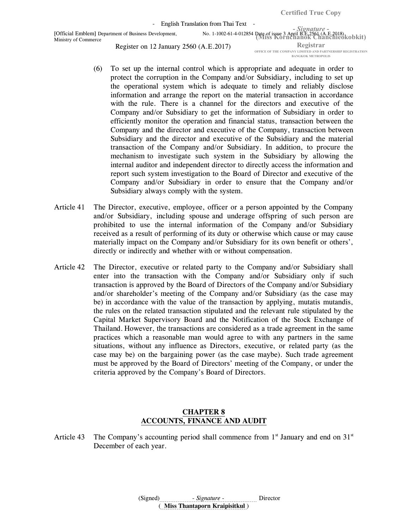- English Translation from Thai Text -

(Miss Kornchanok Chanchieokobkit) [Official Emblem] Department of Business Development, No. 1-1002-61-4-012854 Date of issue 3 April B.E.2561 (A.E.2018) Ministry of Commerce

Register on 12 January 2560 (A.E.2017)

Registrar OFFICE OF THE COMPANY LIMITED AND PARTNERSHIP REGISTRATION BANGKOK METROPOLIS

- (6) To set up the internal control which is appropriate and adequate in order to protect the corruption in the Company and/or Subsidiary, including to set up the operational system which is adequate to timely and reliably disclose information and arrange the report on the material transaction in accordance with the rule. There is a channel for the directors and executive of the Company and/or Subsidiary to get the information of Subsidiary in order to efficiently monitor the operation and financial status, transaction between the Company and the director and executive of the Company, transaction between Subsidiary and the director and executive of the Subsidiary and the material transaction of the Company and/or Subsidiary. In addition, to procure the mechanism to investigate such system in the Subsidiary by allowing the internal auditor and independent director to directly access the information and report such system investigation to the Board of Director and executive of the Company and/or Subsidiary in order to ensure that the Company and/or Subsidiary always comply with the system.
- Article 41 The Director, executive, employee, officer or a person appointed by the Company and/or Subsidiary, including spouse and underage offspring of such person are prohibited to use the internal information of the Company and/or Subsidiary received as a result of performing of its duty or otherwise which cause or may cause materially impact on the Company and/or Subsidiary for its own benefit or others', directly or indirectly and whether with or without compensation.
- Article 42 The Director, executive or related party to the Company and/or Subsidiary shall enter into the transaction with the Company and/or Subsidiary only if such transaction is approved by the Board of Directors of the Company and/or Subsidiary and/or shareholder's meeting of the Company and/or Subsidiary (as the case may be) in accordance with the value of the transaction by applying, mutatis mutandis, the rules on the related transaction stipulated and the relevant rule stipulated by the Capital Market Supervisory Board and the Notification of the Stock Exchange of Thailand. However, the transactions are considered as a trade agreement in the same practices which a reasonable man would agree to with any partners in the same situations, without any influence as Directors, executive, or related party (as the case may be) on the bargaining power (as the case maybe). Such trade agreement must be approved by the Board of Directors' meeting of the Company, or under the criteria approved by the Company's Board of Directors.

### CHAPTER 8 ACCOUNTS, FINANCE AND AUDIT

Article 43 The Company's accounting period shall commence from  $1<sup>st</sup>$  January and end on  $31<sup>st</sup>$ December of each year.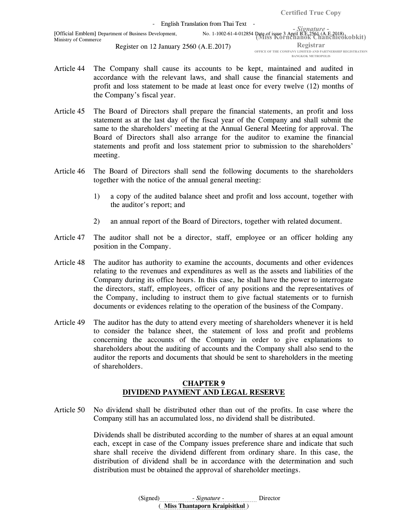- Article 44 The Company shall cause its accounts to be kept, maintained and audited in accordance with the relevant laws, and shall cause the financial statements and profit and loss statement to be made at least once for every twelve (12) months of the Company's fiscal year.
- Article 45 The Board of Directors shall prepare the financial statements, an profit and loss statement as at the last day of the fiscal year of the Company and shall submit the same to the shareholders' meeting at the Annual General Meeting for approval. The Board of Directors shall also arrange for the auditor to examine the financial statements and profit and loss statement prior to submission to the shareholders' meeting.
- Article 46 The Board of Directors shall send the following documents to the shareholders together with the notice of the annual general meeting:
	- 1) a copy of the audited balance sheet and profit and loss account, together with the auditor's report; and
	- 2) an annual report of the Board of Directors, together with related document.
- Article 47 The auditor shall not be a director, staff, employee or an officer holding any position in the Company.
- Article 48 The auditor has authority to examine the accounts, documents and other evidences relating to the revenues and expenditures as well as the assets and liabilities of the Company during its office hours. In this case, he shall have the power to interrogate the directors, staff, employees, officer of any positions and the representatives of the Company, including to instruct them to give factual statements or to furnish documents or evidences relating to the operation of the business of the Company.
- Article 49 The auditor has the duty to attend every meeting of shareholders whenever it is held to consider the balance sheet, the statement of loss and profit and problems concerning the accounts of the Company in order to give explanations to shareholders about the auditing of accounts and the Company shall also send to the auditor the reports and documents that should be sent to shareholders in the meeting of shareholders.

# CHAPTER 9 DIVIDEND PAYMENT AND LEGAL RESERVE

Article 50 No dividend shall be distributed other than out of the profits. In case where the Company still has an accumulated loss, no dividend shall be distributed.

> Dividends shall be distributed according to the number of shares at an equal amount each, except in case of the Company issues preference share and indicate that such share shall receive the dividend different from ordinary share. In this case, the distribution of dividend shall be in accordance with the determination and such distribution must be obtained the approval of shareholder meetings.